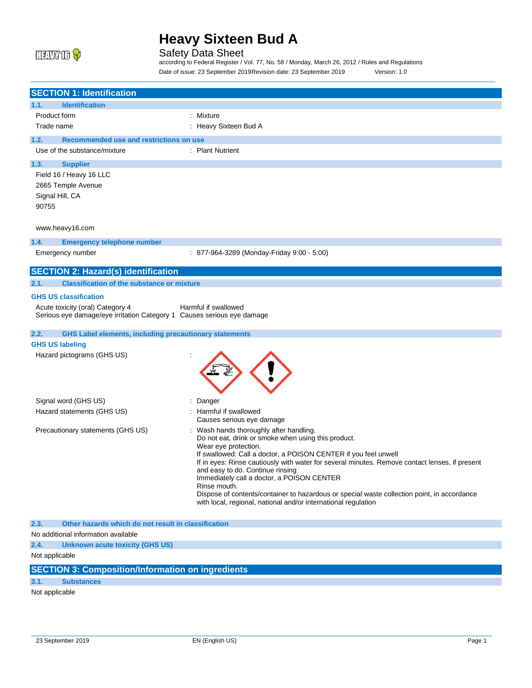

Safety Data Sheet

according to Federal Register / Vol. 77, No. 58 / Monday, March 26, 2012 / Rules and Regulations Date of issue: 23 September 2019Revision date: 23 September 2019 Version: 1.0

| <b>SECTION 1: Identification</b>                                       |                                                                                                                                    |
|------------------------------------------------------------------------|------------------------------------------------------------------------------------------------------------------------------------|
| 1.1.<br><b>Identification</b>                                          |                                                                                                                                    |
| Product form                                                           | : Mixture                                                                                                                          |
| Trade name                                                             | : Heavy Sixteen Bud A                                                                                                              |
| 1.2.<br>Recommended use and restrictions on use                        |                                                                                                                                    |
| Use of the substance/mixture                                           | : Plant Nutrient                                                                                                                   |
| 1.3.<br><b>Supplier</b>                                                |                                                                                                                                    |
| Field 16 / Heavy 16 LLC                                                |                                                                                                                                    |
| 2665 Temple Avenue                                                     |                                                                                                                                    |
| Signal Hill, CA                                                        |                                                                                                                                    |
| 90755                                                                  |                                                                                                                                    |
| www.heavy16.com                                                        |                                                                                                                                    |
| 1.4.<br><b>Emergency telephone number</b>                              |                                                                                                                                    |
| Emergency number                                                       | : 877-964-3289 (Monday-Friday 9:00 - 5:00)                                                                                         |
| <b>SECTION 2: Hazard(s) identification</b>                             |                                                                                                                                    |
| <b>Classification of the substance or mixture</b><br>2.1.              |                                                                                                                                    |
| <b>GHS US classification</b>                                           |                                                                                                                                    |
| Acute toxicity (oral) Category 4                                       | Harmful if swallowed                                                                                                               |
| Serious eye damage/eye irritation Category 1 Causes serious eye damage |                                                                                                                                    |
| <b>GHS Label elements, including precautionary statements</b><br>2.2.  |                                                                                                                                    |
| <b>GHS US labeling</b>                                                 |                                                                                                                                    |
| Hazard pictograms (GHS US)                                             |                                                                                                                                    |
| Signal word (GHS US)                                                   | Danger                                                                                                                             |
| Hazard statements (GHS US)                                             | : Harmful if swallowed                                                                                                             |
|                                                                        | Causes serious eye damage                                                                                                          |
| Precautionary statements (GHS US)                                      | Wash hands thoroughly after handling.<br>Do not eat, drink or smoke when using this product.                                       |
|                                                                        | Wear eye protection.                                                                                                               |
|                                                                        | If swallowed: Call a doctor, a POISON CENTER if you feel unwell                                                                    |
|                                                                        | If in eyes: Rinse cautiously with water for several minutes. Remove contact lenses, if present<br>and easy to do. Continue rinsing |
|                                                                        | Immediately call a doctor, a POISON CENTER                                                                                         |
|                                                                        | Rinse mouth.<br>Dispose of contents/container to hazardous or special waste collection point, in accordance                        |
|                                                                        | with local, regional, national and/or international regulation                                                                     |
| 2.3.<br>Other hazards which do not result in classification            |                                                                                                                                    |
| No additional information available                                    |                                                                                                                                    |
| 2.4.<br>Unknown acute toxicity (GHS US)                                |                                                                                                                                    |
| Not applicable                                                         |                                                                                                                                    |
|                                                                        |                                                                                                                                    |

## **SECTION 3: Composition/Information on ingredients**

### **3.1. Substances**

Not applicable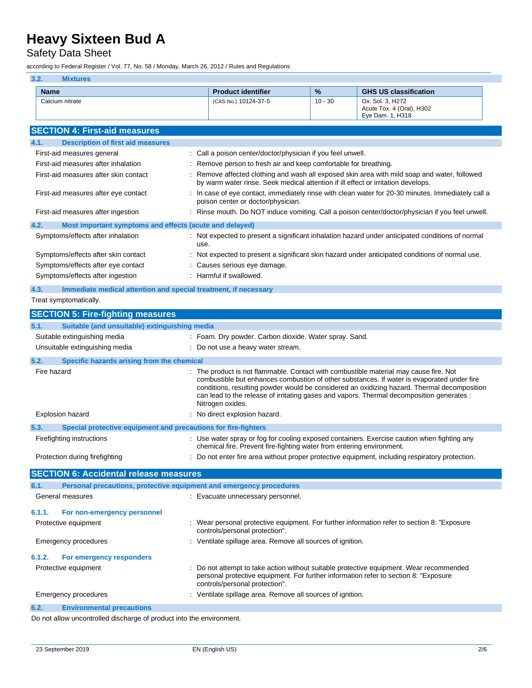## Safety Data Sheet

according to Federal Register / Vol. 77, No. 58 / Monday, March 26, 2012 / Rules and Regulations

| 3.2.<br><b>Mixtures</b>                                                                           |                                                                                                                        |           |                                                                                                                                                                                                                                                                                        |  |
|---------------------------------------------------------------------------------------------------|------------------------------------------------------------------------------------------------------------------------|-----------|----------------------------------------------------------------------------------------------------------------------------------------------------------------------------------------------------------------------------------------------------------------------------------------|--|
| <b>Name</b>                                                                                       | <b>Product identifier</b>                                                                                              | %         | <b>GHS US classification</b>                                                                                                                                                                                                                                                           |  |
| Calcium nitrate                                                                                   | (CAS-No.) 10124-37-5                                                                                                   | $10 - 30$ | Ox. Sol. 3, H272<br>Acute Tox. 4 (Oral), H302<br>Eye Dam. 1, H318                                                                                                                                                                                                                      |  |
| <b>SECTION 4: First-aid measures</b>                                                              |                                                                                                                        |           |                                                                                                                                                                                                                                                                                        |  |
| 4.1.<br><b>Description of first aid measures</b>                                                  |                                                                                                                        |           |                                                                                                                                                                                                                                                                                        |  |
| First-aid measures general                                                                        | Call a poison center/doctor/physician if you feel unwell.                                                              |           |                                                                                                                                                                                                                                                                                        |  |
| First-aid measures after inhalation                                                               | Remove person to fresh air and keep comfortable for breathing.                                                         |           |                                                                                                                                                                                                                                                                                        |  |
| First-aid measures after skin contact                                                             | by warm water rinse. Seek medical attention if ill effect or irritation develops.                                      |           | Remove affected clothing and wash all exposed skin area with mild soap and water, followed                                                                                                                                                                                             |  |
| First-aid measures after eye contact                                                              | poison center or doctor/physician.                                                                                     |           | In case of eye contact, immediately rinse with clean water for 20-30 minutes. Immediately call a                                                                                                                                                                                       |  |
| First-aid measures after ingestion                                                                |                                                                                                                        |           | Rinse mouth. Do NOT induce vomiting. Call a poison center/doctor/physician if you feel unwell.                                                                                                                                                                                         |  |
| 4.2.<br>Most important symptoms and effects (acute and delayed)                                   |                                                                                                                        |           |                                                                                                                                                                                                                                                                                        |  |
| Symptoms/effects after inhalation<br>use.                                                         |                                                                                                                        |           | : Not expected to present a significant inhalation hazard under anticipated conditions of normal                                                                                                                                                                                       |  |
| Symptoms/effects after skin contact                                                               |                                                                                                                        |           | Not expected to present a significant skin hazard under anticipated conditions of normal use.                                                                                                                                                                                          |  |
| Symptoms/effects after eye contact                                                                | Causes serious eye damage.                                                                                             |           |                                                                                                                                                                                                                                                                                        |  |
| Symptoms/effects after ingestion                                                                  | Harmful if swallowed.                                                                                                  |           |                                                                                                                                                                                                                                                                                        |  |
| Immediate medical attention and special treatment, if necessary<br>4.3.<br>Treat symptomatically. |                                                                                                                        |           |                                                                                                                                                                                                                                                                                        |  |
|                                                                                                   |                                                                                                                        |           |                                                                                                                                                                                                                                                                                        |  |
| <b>SECTION 5: Fire-fighting measures</b>                                                          |                                                                                                                        |           |                                                                                                                                                                                                                                                                                        |  |
| 5.1.<br>Suitable (and unsuitable) extinguishing media                                             |                                                                                                                        |           |                                                                                                                                                                                                                                                                                        |  |
| Suitable extinguishing media                                                                      | : Foam. Dry powder. Carbon dioxide. Water spray. Sand.                                                                 |           |                                                                                                                                                                                                                                                                                        |  |
| Unsuitable extinguishing media                                                                    | : Do not use a heavy water stream.                                                                                     |           |                                                                                                                                                                                                                                                                                        |  |
| 5.2.<br>Specific hazards arising from the chemical                                                |                                                                                                                        |           |                                                                                                                                                                                                                                                                                        |  |
| Fire hazard                                                                                       | : The product is not flammable. Contact with combustible material may cause fire. Not<br>Nitrogen oxides.              |           | combustible but enhances combustion of other substances. If water is evaporated under fire<br>conditions, resulting powder would be considered an oxidizing hazard. Thermal decomposition<br>can lead to the release of irritating gases and vapors. Thermal decomposition generates : |  |
| Explosion hazard                                                                                  | No direct explosion hazard.                                                                                            |           |                                                                                                                                                                                                                                                                                        |  |
| 5.3.<br>Special protective equipment and precautions for fire-fighters                            |                                                                                                                        |           |                                                                                                                                                                                                                                                                                        |  |
| Firefighting instructions                                                                         | chemical fire. Prevent fire-fighting water from entering environment.                                                  |           | : Use water spray or fog for cooling exposed containers. Exercise caution when fighting any                                                                                                                                                                                            |  |
| Protection during firefighting                                                                    |                                                                                                                        |           | Do not enter fire area without proper protective equipment, including respiratory protection.                                                                                                                                                                                          |  |
| <b>SECTION 6: Accidental release measures</b>                                                     |                                                                                                                        |           |                                                                                                                                                                                                                                                                                        |  |
| Personal precautions, protective equipment and emergency procedures<br>6.1.                       |                                                                                                                        |           |                                                                                                                                                                                                                                                                                        |  |
| General measures                                                                                  | : Evacuate unnecessary personnel.                                                                                      |           |                                                                                                                                                                                                                                                                                        |  |
| 6.1.1.<br>For non-emergency personnel                                                             |                                                                                                                        |           |                                                                                                                                                                                                                                                                                        |  |
| Protective equipment                                                                              |                                                                                                                        |           | : Wear personal protective equipment. For further information refer to section 8: "Exposure"                                                                                                                                                                                           |  |
|                                                                                                   | controls/personal protection".                                                                                         |           |                                                                                                                                                                                                                                                                                        |  |
| <b>Emergency procedures</b>                                                                       | : Ventilate spillage area. Remove all sources of ignition.                                                             |           |                                                                                                                                                                                                                                                                                        |  |
| 6.1.2.<br>For emergency responders                                                                |                                                                                                                        |           |                                                                                                                                                                                                                                                                                        |  |
| Protective equipment                                                                              | personal protective equipment. For further information refer to section 8: "Exposure<br>controls/personal protection". |           | Do not attempt to take action without suitable protective equipment. Wear recommended                                                                                                                                                                                                  |  |
| <b>Emergency procedures</b>                                                                       | Ventilate spillage area. Remove all sources of ignition.                                                               |           |                                                                                                                                                                                                                                                                                        |  |

**6.2. Environmental precautions**

Do not allow uncontrolled discharge of product into the environment.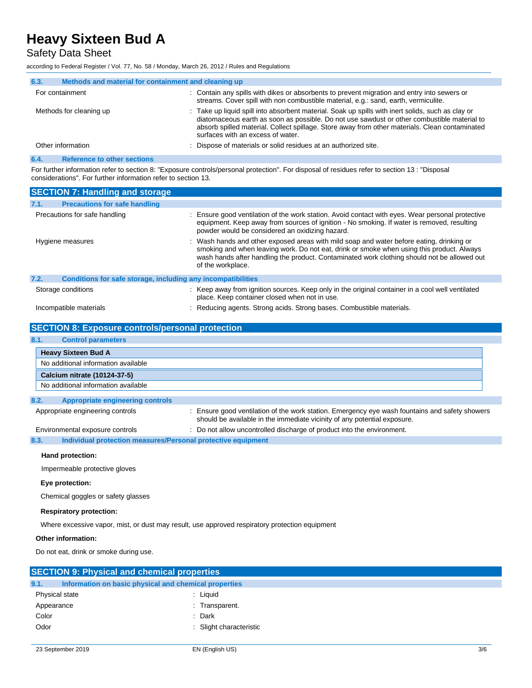Safety Data Sheet

according to Federal Register / Vol. 77, No. 58 / Monday, March 26, 2012 / Rules and Regulations

| 6.3.                    | Methods and material for containment and cleaning up |                                                                                                                                                                                                                                                                                                                                         |
|-------------------------|------------------------------------------------------|-----------------------------------------------------------------------------------------------------------------------------------------------------------------------------------------------------------------------------------------------------------------------------------------------------------------------------------------|
|                         | For containment                                      | : Contain any spills with dikes or absorbents to prevent migration and entry into sewers or<br>streams. Cover spill with non combustible material, e.g.: sand, earth, vermiculite.                                                                                                                                                      |
| Methods for cleaning up |                                                      | : Take up liquid spill into absorbent material. Soak up spills with inert solids, such as clay or<br>diatomaceous earth as soon as possible. Do not use sawdust or other combustible material to<br>absorb spilled material. Collect spillage. Store away from other materials. Clean contaminated<br>surfaces with an excess of water. |
|                         | Other information                                    | Dispose of materials or solid residues at an authorized site.                                                                                                                                                                                                                                                                           |
| 6.4.                    | <b>Reference to other sections</b>                   |                                                                                                                                                                                                                                                                                                                                         |

For further information refer to section 8: "Exposure controls/personal protection". For disposal of residues refer to section 13 : "Disposal considerations". For further information refer to section 13.

| <b>SECTION 7: Handling and storage</b>                               |                                                                                                                                                                                                                                                                                                           |
|----------------------------------------------------------------------|-----------------------------------------------------------------------------------------------------------------------------------------------------------------------------------------------------------------------------------------------------------------------------------------------------------|
| 7.1.<br><b>Precautions for safe handling</b>                         |                                                                                                                                                                                                                                                                                                           |
| Precautions for safe handling                                        | Ensure good ventilation of the work station. Avoid contact with eyes. Wear personal protective<br>equipment. Keep away from sources of ignition - No smoking. If water is removed, resulting<br>powder would be considered an oxidizing hazard.                                                           |
| Hygiene measures                                                     | : Wash hands and other exposed areas with mild soap and water before eating, drinking or<br>smoking and when leaving work. Do not eat, drink or smoke when using this product. Always<br>wash hands after handling the product. Contaminated work clothing should not be allowed out<br>of the workplace. |
| 7.2.<br>Conditions for safe storage, including any incompatibilities |                                                                                                                                                                                                                                                                                                           |
| Storage conditions                                                   | : Keep away from ignition sources. Keep only in the original container in a cool well ventilated<br>place. Keep container closed when not in use.                                                                                                                                                         |
| Incompatible materials                                               | : Reducing agents. Strong acids. Strong bases. Combustible materials.                                                                                                                                                                                                                                     |

#### **SECTION 8: Exposure controls/personal protection**

| 8.1. | <b>Control parameters</b>           |
|------|-------------------------------------|
|      | <b>Heavy Sixteen Bud A</b>          |
|      | No additional information available |
|      | Calcium nitrate (10124-37-5)        |
|      | No additional information available |

#### **8.2. Appropriate engineering controls**

Appropriate engineering controls : Ensure good ventilation of the work station. Emergency eye wash fountains and safety showers should be available in the immediate vicinity of any potential exposure.

Environmental exposure controls : Do not allow uncontrolled discharge of product into the environment.

#### **8.3. Individual protection measures/Personal protective equipment**

#### **Hand protection:**

Impermeable protective gloves

#### **Eye protection:**

Chemical goggles or safety glasses

#### **Respiratory protection:**

Where excessive vapor, mist, or dust may result, use approved respiratory protection equipment

#### **Other information:**

Do not eat, drink or smoke during use.

| <b>SECTION 9: Physical and chemical properties</b>            |                         |
|---------------------------------------------------------------|-------------------------|
| 9.1.<br>Information on basic physical and chemical properties |                         |
| Physical state                                                | : Liquid                |
| Appearance                                                    | : Transparent.          |
| Color                                                         | : Dark                  |
| Odor                                                          | : Slight characteristic |
|                                                               |                         |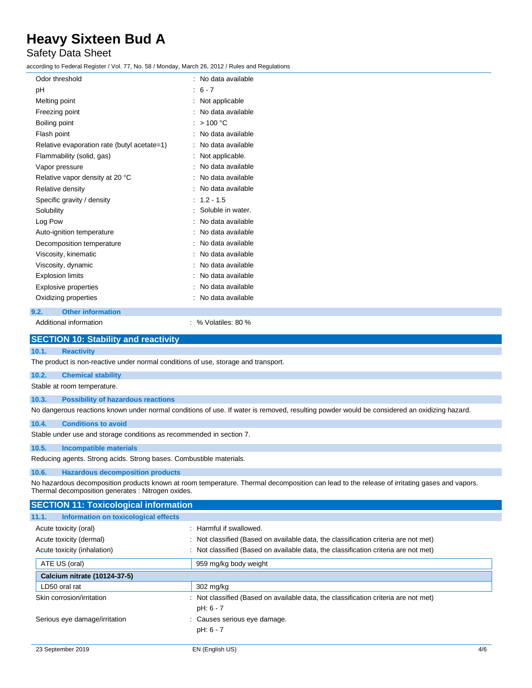### Safety Data Sheet

according to Federal Register / Vol. 77, No. 58 / Monday, March 26, 2012 / Rules and Regulations

| Odor threshold                              | : No data available |
|---------------------------------------------|---------------------|
| pH                                          | $: 6 - 7$           |
| Melting point                               | : Not applicable    |
| Freezing point                              | : No data available |
| Boiling point                               | : $> 100 °C$        |
| Flash point                                 | : No data available |
| Relative evaporation rate (butyl acetate=1) | : No data available |
| Flammability (solid, gas)                   | : Not applicable.   |
| Vapor pressure                              | : No data available |
| Relative vapor density at 20 °C             | : No data available |
| Relative density                            | : No data available |
| Specific gravity / density                  | $: 1.2 - 1.5$       |
| Solubility                                  | : Soluble in water. |
| Log Pow                                     | : No data available |
| Auto-ignition temperature                   | : No data available |
| Decomposition temperature                   | : No data available |
| Viscosity, kinematic                        | : No data available |
| Viscosity, dynamic                          | : No data available |
| <b>Explosion limits</b>                     | : No data available |
| Explosive properties                        | : No data available |
| Oxidizing properties                        | : No data available |
| <b>Other information</b><br>9.2.            |                     |

Additional information  $\sim$  30 %  $\sim$  30 %  $\sim$  80 %

### **SECTION 10: Stability and reactivity**

#### **10.1. Reactivity**

The product is non-reactive under normal conditions of use, storage and transport.

#### **10.2. Chemical stability**

Stable at room temperature.

### **10.3. Possibility of hazardous reactions**

No dangerous reactions known under normal conditions of use. If water is removed, resulting powder would be considered an oxidizing hazard.

#### **10.4. Conditions to avoid**

Stable under use and storage conditions as recommended in section 7.

#### **10.5. Incompatible materials**

Reducing agents. Strong acids. Strong bases. Combustible materials.

#### **10.6. Hazardous decomposition products**

No hazardous decomposition products known at room temperature. Thermal decomposition can lead to the release of irritating gases and vapors. Thermal decomposition generates : Nitrogen oxides.

| <b>SECTION 11: Toxicological information</b>  |                                                                                     |
|-----------------------------------------------|-------------------------------------------------------------------------------------|
| Information on toxicological effects<br>11.1. |                                                                                     |
| Acute toxicity (oral)                         | : Harmful if swallowed.                                                             |
| Acute toxicity (dermal)                       | Not classified (Based on available data, the classification criteria are not met)   |
| Acute toxicity (inhalation)                   | : Not classified (Based on available data, the classification criteria are not met) |
| ATE US (oral)                                 | 959 mg/kg body weight                                                               |
| Calcium nitrate (10124-37-5)                  |                                                                                     |
| LD50 oral rat                                 | 302 mg/kg                                                                           |
| Skin corrosion/irritation                     | : Not classified (Based on available data, the classification criteria are not met) |
|                                               | pH: 6 - 7                                                                           |
| Serious eye damage/irritation                 | : Causes serious eye damage.                                                        |
|                                               | pH: 6 - 7                                                                           |
|                                               |                                                                                     |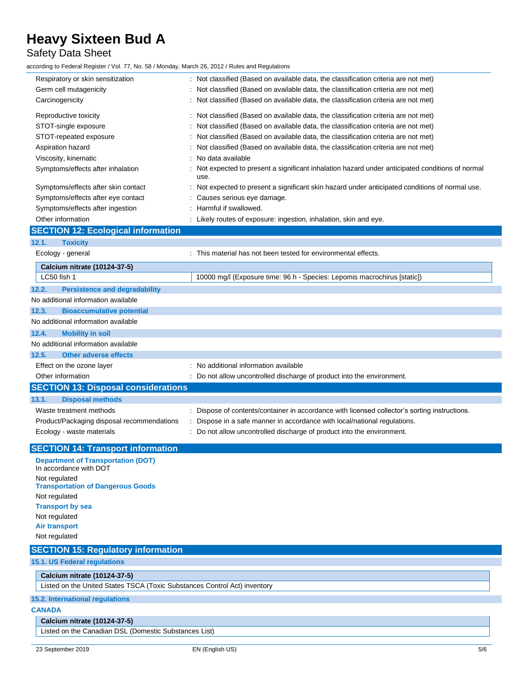## Safety Data Sheet

according to Federal Register / Vol. 77, No. 58 / Monday, March 26, 2012 / Rules and Regulations

| Respiratory or skin sensitization<br>Germ cell mutagenicity                                                                                                                                                                                                                                     | : Not classified (Based on available data, the classification criteria are not met)<br>: Not classified (Based on available data, the classification criteria are not met)                                                                                                                                                                                                                                                                                                                                                                                                                                                                                                                                     |
|-------------------------------------------------------------------------------------------------------------------------------------------------------------------------------------------------------------------------------------------------------------------------------------------------|----------------------------------------------------------------------------------------------------------------------------------------------------------------------------------------------------------------------------------------------------------------------------------------------------------------------------------------------------------------------------------------------------------------------------------------------------------------------------------------------------------------------------------------------------------------------------------------------------------------------------------------------------------------------------------------------------------------|
| Carcinogenicity                                                                                                                                                                                                                                                                                 | : Not classified (Based on available data, the classification criteria are not met)                                                                                                                                                                                                                                                                                                                                                                                                                                                                                                                                                                                                                            |
| Reproductive toxicity<br>STOT-single exposure<br>STOT-repeated exposure<br>Aspiration hazard<br>Viscosity, kinematic<br>Symptoms/effects after inhalation<br>Symptoms/effects after skin contact<br>Symptoms/effects after eye contact<br>Symptoms/effects after ingestion<br>Other information | : Not classified (Based on available data, the classification criteria are not met)<br>Not classified (Based on available data, the classification criteria are not met)<br>Not classified (Based on available data, the classification criteria are not met)<br>Not classified (Based on available data, the classification criteria are not met)<br>No data available<br>Not expected to present a significant inhalation hazard under anticipated conditions of normal<br>use.<br>Not expected to present a significant skin hazard under anticipated conditions of normal use.<br>Causes serious eye damage.<br>Harmful if swallowed.<br>: Likely routes of exposure: ingestion, inhalation, skin and eye. |
| <b>SECTION 12: Ecological information</b>                                                                                                                                                                                                                                                       |                                                                                                                                                                                                                                                                                                                                                                                                                                                                                                                                                                                                                                                                                                                |
| 12.1.<br><b>Toxicity</b>                                                                                                                                                                                                                                                                        |                                                                                                                                                                                                                                                                                                                                                                                                                                                                                                                                                                                                                                                                                                                |
| Ecology - general                                                                                                                                                                                                                                                                               | : This material has not been tested for environmental effects.                                                                                                                                                                                                                                                                                                                                                                                                                                                                                                                                                                                                                                                 |
| <b>Calcium nitrate (10124-37-5)</b>                                                                                                                                                                                                                                                             |                                                                                                                                                                                                                                                                                                                                                                                                                                                                                                                                                                                                                                                                                                                |
| LC50 fish 1                                                                                                                                                                                                                                                                                     | 10000 mg/l (Exposure time: 96 h - Species: Lepomis macrochirus [static])                                                                                                                                                                                                                                                                                                                                                                                                                                                                                                                                                                                                                                       |
| 12.2.<br><b>Persistence and degradability</b>                                                                                                                                                                                                                                                   |                                                                                                                                                                                                                                                                                                                                                                                                                                                                                                                                                                                                                                                                                                                |
| No additional information available                                                                                                                                                                                                                                                             |                                                                                                                                                                                                                                                                                                                                                                                                                                                                                                                                                                                                                                                                                                                |
| 12.3.<br><b>Bioaccumulative potential</b>                                                                                                                                                                                                                                                       |                                                                                                                                                                                                                                                                                                                                                                                                                                                                                                                                                                                                                                                                                                                |
| No additional information available                                                                                                                                                                                                                                                             |                                                                                                                                                                                                                                                                                                                                                                                                                                                                                                                                                                                                                                                                                                                |
| 12.4.<br><b>Mobility in soil</b>                                                                                                                                                                                                                                                                |                                                                                                                                                                                                                                                                                                                                                                                                                                                                                                                                                                                                                                                                                                                |
| No additional information available                                                                                                                                                                                                                                                             |                                                                                                                                                                                                                                                                                                                                                                                                                                                                                                                                                                                                                                                                                                                |
| 12.5.<br><b>Other adverse effects</b>                                                                                                                                                                                                                                                           |                                                                                                                                                                                                                                                                                                                                                                                                                                                                                                                                                                                                                                                                                                                |
| Effect on the ozone layer                                                                                                                                                                                                                                                                       | : No additional information available                                                                                                                                                                                                                                                                                                                                                                                                                                                                                                                                                                                                                                                                          |
| Other information                                                                                                                                                                                                                                                                               | : Do not allow uncontrolled discharge of product into the environment.                                                                                                                                                                                                                                                                                                                                                                                                                                                                                                                                                                                                                                         |
| <b>SECTION 13: Disposal considerations</b>                                                                                                                                                                                                                                                      |                                                                                                                                                                                                                                                                                                                                                                                                                                                                                                                                                                                                                                                                                                                |
| 13.1.<br><b>Disposal methods</b>                                                                                                                                                                                                                                                                |                                                                                                                                                                                                                                                                                                                                                                                                                                                                                                                                                                                                                                                                                                                |
| Waste treatment methods                                                                                                                                                                                                                                                                         | : Dispose of contents/container in accordance with licensed collector's sorting instructions.                                                                                                                                                                                                                                                                                                                                                                                                                                                                                                                                                                                                                  |
| Product/Packaging disposal recommendations                                                                                                                                                                                                                                                      | Dispose in a safe manner in accordance with local/national regulations.                                                                                                                                                                                                                                                                                                                                                                                                                                                                                                                                                                                                                                        |
| Ecology - waste materials                                                                                                                                                                                                                                                                       | : Do not allow uncontrolled discharge of product into the environment.                                                                                                                                                                                                                                                                                                                                                                                                                                                                                                                                                                                                                                         |
| <b>SECTION 14: Transport information</b>                                                                                                                                                                                                                                                        |                                                                                                                                                                                                                                                                                                                                                                                                                                                                                                                                                                                                                                                                                                                |
| <b>Department of Transportation (DOT)</b><br>In accordance with DOT                                                                                                                                                                                                                             |                                                                                                                                                                                                                                                                                                                                                                                                                                                                                                                                                                                                                                                                                                                |
| Not regulated<br><b>Transportation of Dangerous Goods</b>                                                                                                                                                                                                                                       |                                                                                                                                                                                                                                                                                                                                                                                                                                                                                                                                                                                                                                                                                                                |
| Not regulated                                                                                                                                                                                                                                                                                   |                                                                                                                                                                                                                                                                                                                                                                                                                                                                                                                                                                                                                                                                                                                |
| <b>Transport by sea</b>                                                                                                                                                                                                                                                                         |                                                                                                                                                                                                                                                                                                                                                                                                                                                                                                                                                                                                                                                                                                                |
| Not regulated                                                                                                                                                                                                                                                                                   |                                                                                                                                                                                                                                                                                                                                                                                                                                                                                                                                                                                                                                                                                                                |
| <b>Air transport</b>                                                                                                                                                                                                                                                                            |                                                                                                                                                                                                                                                                                                                                                                                                                                                                                                                                                                                                                                                                                                                |
| Not regulated                                                                                                                                                                                                                                                                                   |                                                                                                                                                                                                                                                                                                                                                                                                                                                                                                                                                                                                                                                                                                                |
| <b>SECTION 15: Regulatory information</b>                                                                                                                                                                                                                                                       |                                                                                                                                                                                                                                                                                                                                                                                                                                                                                                                                                                                                                                                                                                                |
| 15.1. US Federal regulations                                                                                                                                                                                                                                                                    |                                                                                                                                                                                                                                                                                                                                                                                                                                                                                                                                                                                                                                                                                                                |
| <b>Calcium nitrate (10124-37-5)</b>                                                                                                                                                                                                                                                             |                                                                                                                                                                                                                                                                                                                                                                                                                                                                                                                                                                                                                                                                                                                |
| Listed on the United States TSCA (Toxic Substances Control Act) inventory                                                                                                                                                                                                                       |                                                                                                                                                                                                                                                                                                                                                                                                                                                                                                                                                                                                                                                                                                                |
| <b>15.2. International regulations</b>                                                                                                                                                                                                                                                          |                                                                                                                                                                                                                                                                                                                                                                                                                                                                                                                                                                                                                                                                                                                |
| <b>CANADA</b>                                                                                                                                                                                                                                                                                   |                                                                                                                                                                                                                                                                                                                                                                                                                                                                                                                                                                                                                                                                                                                |
| Calcium nitrate (10124-37-5)                                                                                                                                                                                                                                                                    |                                                                                                                                                                                                                                                                                                                                                                                                                                                                                                                                                                                                                                                                                                                |
| Listed on the Canadian DSL (Domestic Substances List)                                                                                                                                                                                                                                           |                                                                                                                                                                                                                                                                                                                                                                                                                                                                                                                                                                                                                                                                                                                |
|                                                                                                                                                                                                                                                                                                 |                                                                                                                                                                                                                                                                                                                                                                                                                                                                                                                                                                                                                                                                                                                |